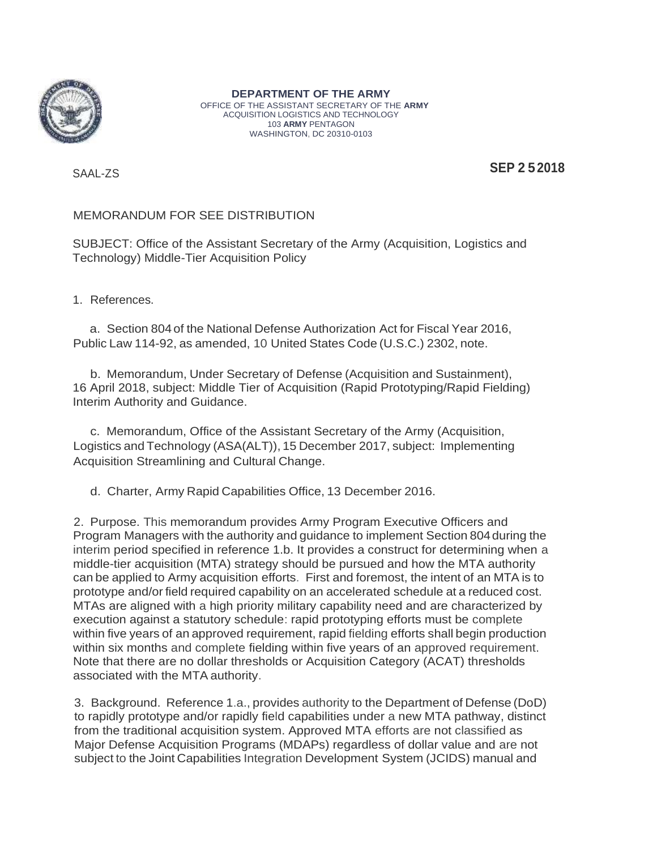

**DEPARTMENT OF THE ARMY** OFFICE OF THE ASSISTANT SECRETARY OF THE **ARMY** ACQUISITION LOGISTICS AND TECHNOLOGY 103 **ARMY** PENTAGON WASHINGTON, DC 20310-0103

SAAL-ZS **SEP 2 52018**

# MEMORANDUM FOR SEE DISTRIBUTION

SUBJECT: Office of the Assistant Secretary of the Army (Acquisition, Logistics and Technology) Middle-Tier Acquisition Policy

1. References.

a. Section 804 of the National Defense Authorization Act for Fiscal Year 2016, Public Law 114-92, as amended, 10 United States Code (U.S.C.) 2302, note.

b. Memorandum, Under Secretary of Defense (Acquisition and Sustainment), 16 April 2018, subject: Middle Tier of Acquisition (Rapid Prototyping/Rapid Fielding) Interim Authority and Guidance.

c. Memorandum, Office of the Assistant Secretary of the Army (Acquisition, Logistics and Technology (ASA(ALT)), 15 December 2017, subject: Implementing Acquisition Streamlining and Cultural Change.

d. Charter, Army Rapid Capabilities Office, 13 December 2016.

2. Purpose. This memorandum provides Army Program Executive Officers and Program Managers with the authority and guidance to implement Section 804during the interim period specified in reference 1.b. It provides a construct for determining when a middle-tier acquisition (MTA) strategy should be pursued and how the MTA authority can be applied to Army acquisition efforts. First and foremost, the intent of an MTA is to prototype and/or field required capability on an accelerated schedule at a reduced cost. MTAs are aligned with a high priority military capability need and are characterized by execution against a statutory schedule: rapid prototyping efforts must be complete within five years of an approved requirement, rapid fielding efforts shall begin production within six months and complete fielding within five years of an approved requirement. Note that there are no dollar thresholds or Acquisition Category (ACAT) thresholds associated with the MTA authority.

3. Background. Reference 1.a., provides authority to the Department of Defense (DoD) to rapidly prototype and/or rapidly field capabilities under a new MTA pathway, distinct from the traditional acquisition system. Approved MTA efforts are not classified as Major Defense Acquisition Programs (MDAPs) regardless of dollar value and are not subject to the Joint Capabilities Integration Development System (JCIDS) manual and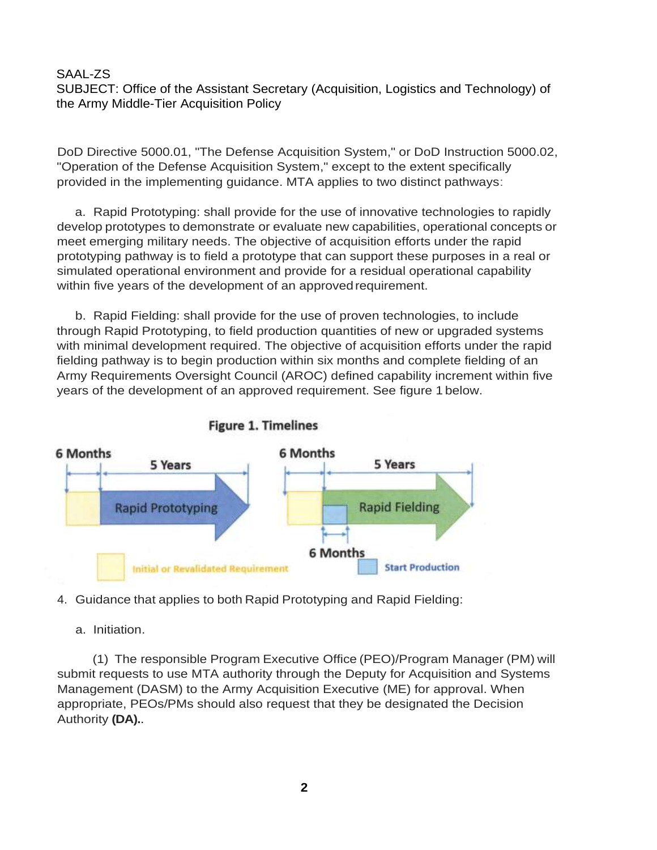SAAL-ZS SUBJECT: Office of the Assistant Secretary (Acquisition, Logistics and Technology) of the Army Middle-Tier Acquisition Policy

DoD Directive 5000.01, "The Defense Acquisition System," or DoD Instruction 5000.02, "Operation of the Defense Acquisition System," except to the extent specifically provided in the implementing guidance. MTA applies to two distinct pathways:

a. Rapid Prototyping: shall provide for the use of innovative technologies to rapidly develop prototypes to demonstrate or evaluate new capabilities, operational concepts or meet emerging military needs. The objective of acquisition efforts under the rapid prototyping pathway is to field a prototype that can support these purposes in a real or simulated operational environment and provide for a residual operational capability within five years of the development of an approved requirement.

b. Rapid Fielding: shall provide for the use of proven technologies, to include through Rapid Prototyping, to field production quantities of new or upgraded systems with minimal development required. The objective of acquisition efforts under the rapid fielding pathway is to begin production within six months and complete fielding of an Army Requirements Oversight Council (AROC) defined capability increment within five years of the development of an approved requirement. See figure 1 below.





# 4. Guidance that applies to both Rapid Prototyping and Rapid Fielding:

a. Initiation.

(1) The responsible Program Executive Office (PEO)/Program Manager (PM) will submit requests to use MTA authority through the Deputy for Acquisition and Systems Management (DASM) to the Army Acquisition Executive (ME) for approval. When appropriate, PEOs/PMs should also request that they be designated the Decision Authority **(DA).**.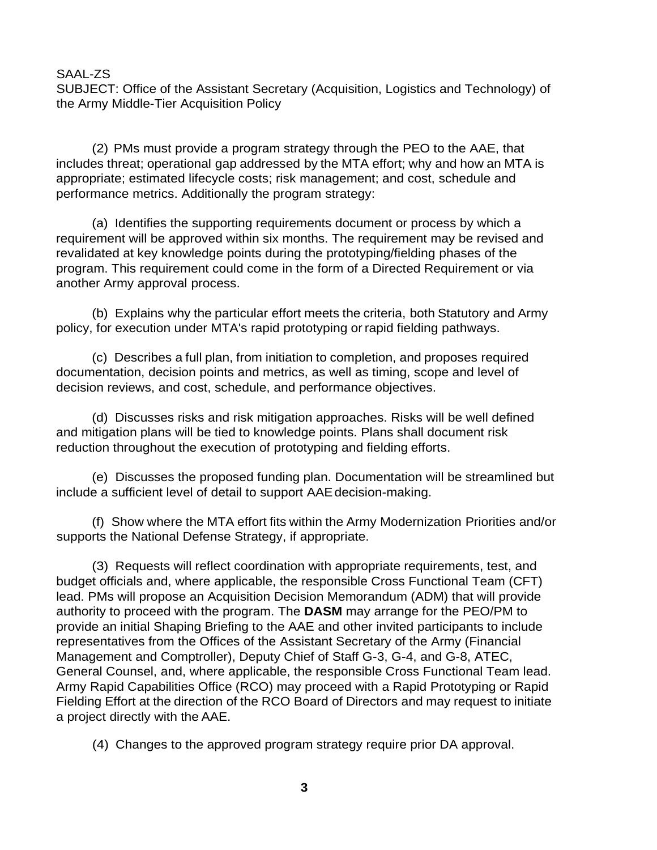SUBJECT: Office of the Assistant Secretary (Acquisition, Logistics and Technology) of the Army Middle-Tier Acquisition Policy

(2) PMs must provide a program strategy through the PEO to the AAE, that includes threat; operational gap addressed by the MTA effort; why and how an MTA is appropriate; estimated lifecycle costs; risk management; and cost, schedule and performance metrics. Additionally the program strategy:

(a) Identifies the supporting requirements document or process by which a requirement will be approved within six months. The requirement may be revised and revalidated at key knowledge points during the prototyping/fielding phases of the program. This requirement could come in the form of a Directed Requirement or via another Army approval process.

(b) Explains why the particular effort meets the criteria, both Statutory and Army policy, for execution under MTA's rapid prototyping or rapid fielding pathways.

(c) Describes a full plan, from initiation to completion, and proposes required documentation, decision points and metrics, as well as timing, scope and level of decision reviews, and cost, schedule, and performance objectives.

(d) Discusses risks and risk mitigation approaches. Risks will be well defined and mitigation plans will be tied to knowledge points. Plans shall document risk reduction throughout the execution of prototyping and fielding efforts.

(e) Discusses the proposed funding plan. Documentation will be streamlined but include a sufficient level of detail to support AAEdecision-making.

(f) Show where the MTA effort fits within the Army Modernization Priorities and/or supports the National Defense Strategy, if appropriate.

(3) Requests will reflect coordination with appropriate requirements, test, and budget officials and, where applicable, the responsible Cross Functional Team (CFT) lead. PMs will propose an Acquisition Decision Memorandum (ADM) that will provide authority to proceed with the program. The **DASM** may arrange for the PEO/PM to provide an initial Shaping Briefing to the AAE and other invited participants to include representatives from the Offices of the Assistant Secretary of the Army (Financial Management and Comptroller), Deputy Chief of Staff G-3, G-4, and G-8, ATEC, General Counsel, and, where applicable, the responsible Cross Functional Team lead. Army Rapid Capabilities Office (RCO) may proceed with a Rapid Prototyping or Rapid Fielding Effort at the direction of the RCO Board of Directors and may request to initiate a project directly with the AAE.

(4) Changes to the approved program strategy require prior DA approval.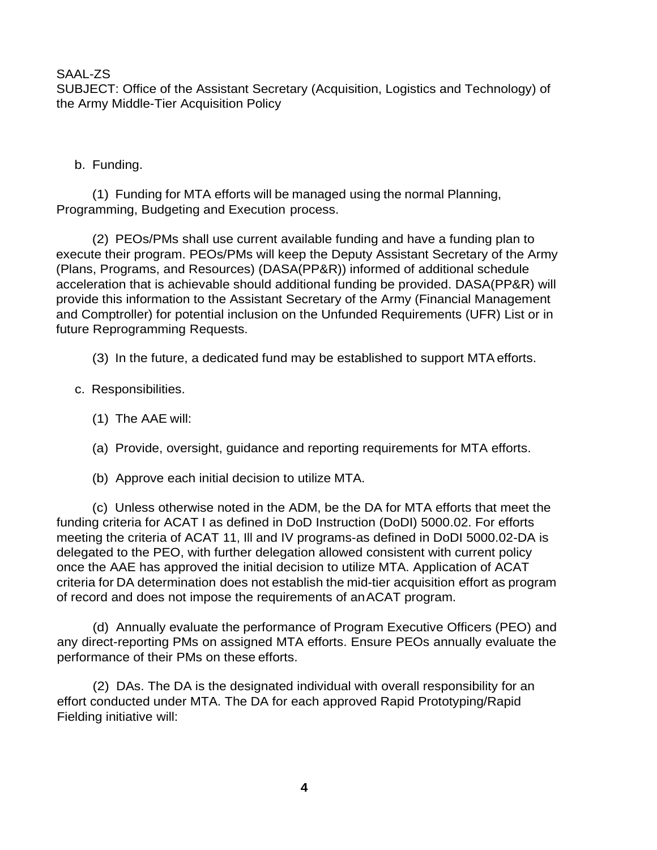SUBJECT: Office of the Assistant Secretary (Acquisition, Logistics and Technology) of the Army Middle-Tier Acquisition Policy

b. Funding.

(1) Funding for MTA efforts will be managed using the normal Planning, Programming, Budgeting and Execution process.

(2) PEOs/PMs shall use current available funding and have a funding plan to execute their program. PEOs/PMs will keep the Deputy Assistant Secretary of the Army (Plans, Programs, and Resources) (DASA(PP&R)) informed of additional schedule acceleration that is achievable should additional funding be provided. DASA(PP&R) will provide this information to the Assistant Secretary of the Army (Financial Management and Comptroller) for potential inclusion on the Unfunded Requirements (UFR) List or in future Reprogramming Requests.

(3) In the future, a dedicated fund may be established to support MTAefforts.

- c. Responsibilities.
	- (1) The AAE will:
	- (a) Provide, oversight, guidance and reporting requirements for MTA efforts.
	- (b) Approve each initial decision to utilize MTA.

(c) Unless otherwise noted in the ADM, be the DA for MTA efforts that meet the funding criteria for ACAT I as defined in DoD Instruction (DoDI) 5000.02. For efforts meeting the criteria of ACAT 11, Ill and IV programs-as defined in DoDI 5000.02-DA is delegated to the PEO, with further delegation allowed consistent with current policy once the AAE has approved the initial decision to utilize MTA. Application of ACAT criteria for DA determination does not establish the mid-tier acquisition effort as program of record and does not impose the requirements of anACAT program.

(d) Annually evaluate the performance of Program Executive Officers (PEO) and any direct-reporting PMs on assigned MTA efforts. Ensure PEOs annually evaluate the performance of their PMs on these efforts.

(2) DAs. The DA is the designated individual with overall responsibility for an effort conducted under MTA. The DA for each approved Rapid Prototyping/Rapid Fielding initiative will: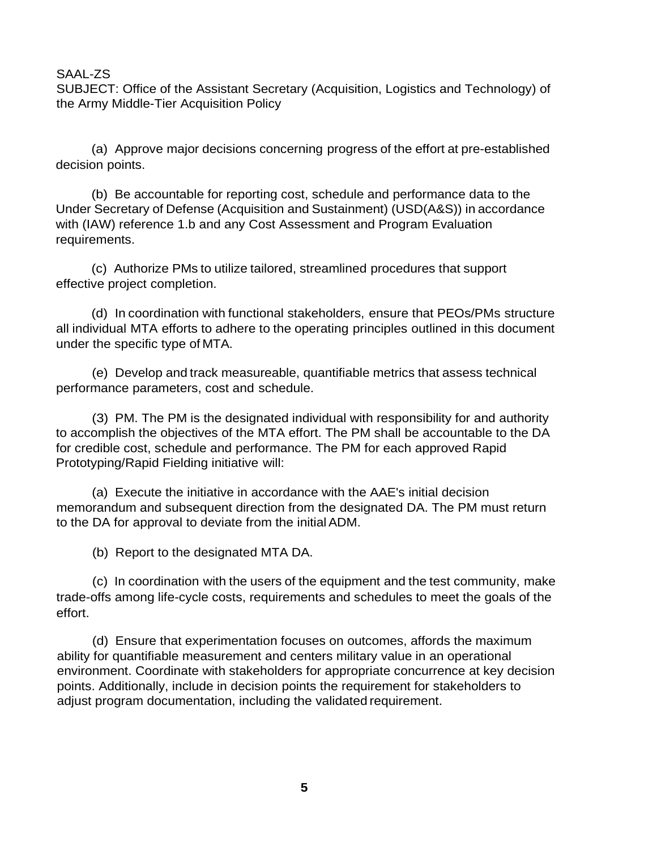SUBJECT: Office of the Assistant Secretary (Acquisition, Logistics and Technology) of the Army Middle-Tier Acquisition Policy

(a) Approve major decisions concerning progress of the effort at pre-established decision points.

(b) Be accountable for reporting cost, schedule and performance data to the Under Secretary of Defense (Acquisition and Sustainment) (USD(A&S)) in accordance with (IAW) reference 1.b and any Cost Assessment and Program Evaluation requirements.

(c) Authorize PMs to utilize tailored, streamlined procedures that support effective project completion.

(d) In coordination with functional stakeholders, ensure that PEOs/PMs structure all individual MTA efforts to adhere to the operating principles outlined in this document under the specific type of MTA.

(e) Develop and track measureable, quantifiable metrics that assess technical performance parameters, cost and schedule.

(3) PM. The PM is the designated individual with responsibility for and authority to accomplish the objectives of the MTA effort. The PM shall be accountable to the DA for credible cost, schedule and performance. The PM for each approved Rapid Prototyping/Rapid Fielding initiative will:

(a) Execute the initiative in accordance with the AAE's initial decision memorandum and subsequent direction from the designated DA. The PM must return to the DA for approval to deviate from the initial ADM.

(b) Report to the designated MTA DA.

(c) In coordination with the users of the equipment and the test community, make trade-offs among life-cycle costs, requirements and schedules to meet the goals of the effort.

(d) Ensure that experimentation focuses on outcomes, affords the maximum ability for quantifiable measurement and centers military value in an operational environment. Coordinate with stakeholders for appropriate concurrence at key decision points. Additionally, include in decision points the requirement for stakeholders to adjust program documentation, including the validated requirement.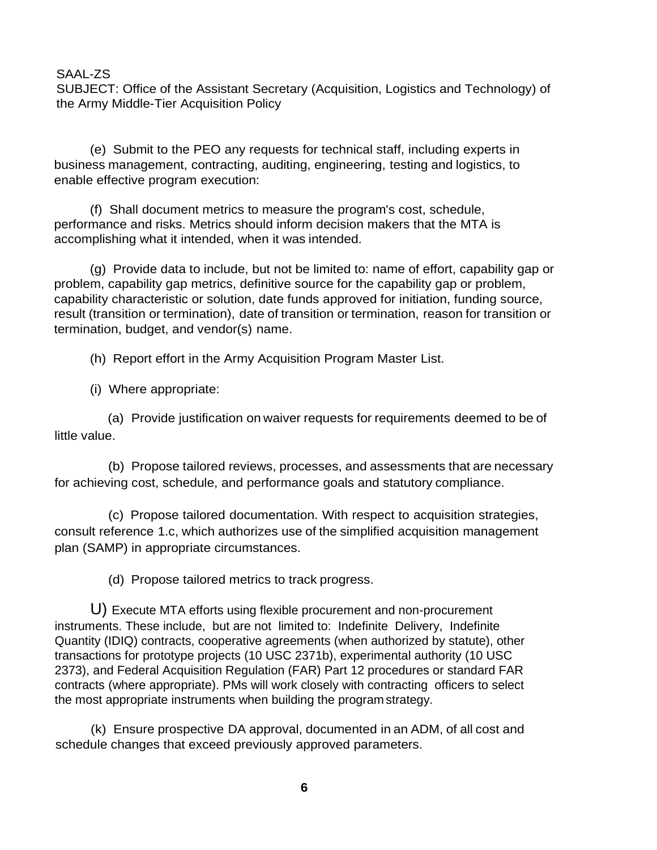SUBJECT: Office of the Assistant Secretary (Acquisition, Logistics and Technology) of the Army Middle-Tier Acquisition Policy

(e) Submit to the PEO any requests for technical staff, including experts in business management, contracting, auditing, engineering, testing and logistics, to enable effective program execution:

(f) Shall document metrics to measure the program's cost, schedule, performance and risks. Metrics should inform decision makers that the MTA is accomplishing what it intended, when it was intended.

(g) Provide data to include, but not be limited to: name of effort, capability gap or problem, capability gap metrics, definitive source for the capability gap or problem, capability characteristic or solution, date funds approved for initiation, funding source, result (transition or termination), date of transition or termination, reason for transition or termination, budget, and vendor(s) name.

(h) Report effort in the Army Acquisition Program Master List.

(i) Where appropriate:

(a) Provide justification on waiver requests for requirements deemed to be of little value.

(b) Propose tailored reviews, processes, and assessments that are necessary for achieving cost, schedule, and performance goals and statutory compliance.

(c) Propose tailored documentation. With respect to acquisition strategies, consult reference 1.c, which authorizes use of the simplified acquisition management plan (SAMP) in appropriate circumstances.

(d) Propose tailored metrics to track progress.

U) Execute MTA efforts using flexible procurement and non-procurement instruments. These include, but are not limited to: Indefinite Delivery, Indefinite Quantity (IDIQ) contracts, cooperative agreements (when authorized by statute), other transactions for prototype projects (10 USC 2371b), experimental authority (10 USC 2373), and Federal Acquisition Regulation (FAR) Part 12 procedures or standard FAR contracts (where appropriate). PMs will work closely with contracting officers to select the most appropriate instruments when building the program strategy.

(k) Ensure prospective DA approval, documented in an ADM, of all cost and schedule changes that exceed previously approved parameters.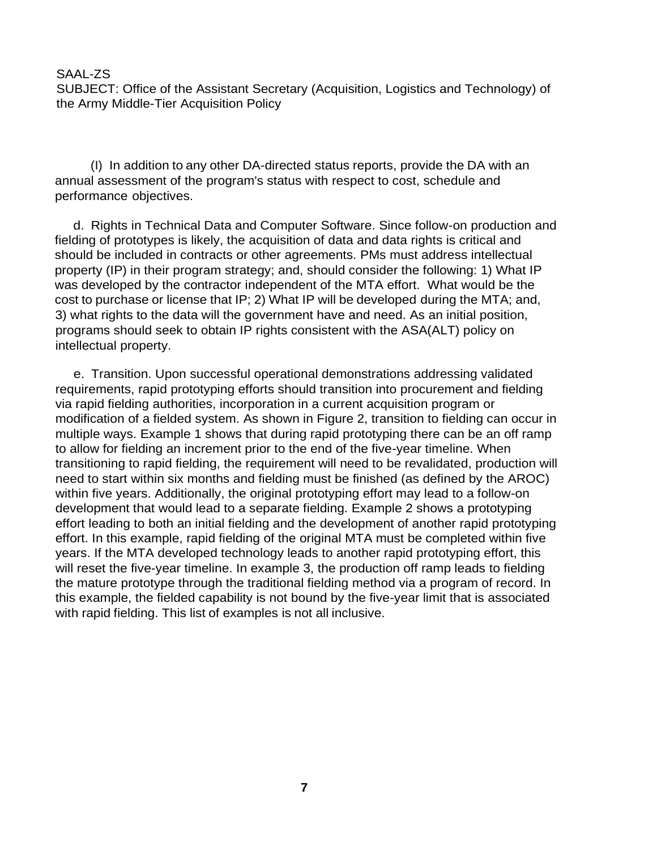SUBJECT: Office of the Assistant Secretary (Acquisition, Logistics and Technology) of the Army Middle-Tier Acquisition Policy

(I) In addition to any other DA-directed status reports, provide the DA with an annual assessment of the program's status with respect to cost, schedule and performance objectives.

d. Rights in Technical Data and Computer Software. Since follow-on production and fielding of prototypes is likely, the acquisition of data and data rights is critical and should be included in contracts or other agreements. PMs must address intellectual property (IP) in their program strategy; and, should consider the following: 1) What IP was developed by the contractor independent of the MTA effort. What would be the cost to purchase or license that IP; 2) What IP will be developed during the MTA; and, 3) what rights to the data will the government have and need. As an initial position, programs should seek to obtain IP rights consistent with the ASA(ALT) policy on intellectual property.

e. Transition. Upon successful operational demonstrations addressing validated requirements, rapid prototyping efforts should transition into procurement and fielding via rapid fielding authorities, incorporation in a current acquisition program or modification of a fielded system. As shown in Figure 2, transition to fielding can occur in multiple ways. Example 1 shows that during rapid prototyping there can be an off ramp to allow for fielding an increment prior to the end of the five-year timeline. When transitioning to rapid fielding, the requirement will need to be revalidated, production will need to start within six months and fielding must be finished (as defined by the AROC) within five years. Additionally, the original prototyping effort may lead to a follow-on development that would lead to a separate fielding. Example 2 shows a prototyping effort leading to both an initial fielding and the development of another rapid prototyping effort. In this example, rapid fielding of the original MTA must be completed within five years. If the MTA developed technology leads to another rapid prototyping effort, this will reset the five-year timeline. In example 3, the production off ramp leads to fielding the mature prototype through the traditional fielding method via a program of record. In this example, the fielded capability is not bound by the five-year limit that is associated with rapid fielding. This list of examples is not all inclusive.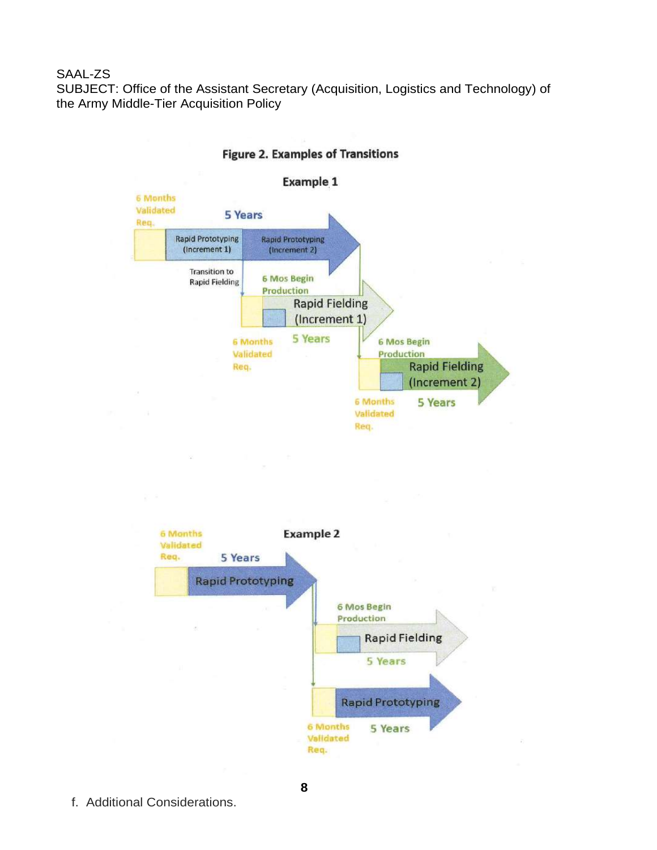SAAL-ZS SUBJECT: Office of the Assistant Secretary (Acquisition, Logistics and Technology) of the Army Middle-Tier Acquisition Policy



### **Figure 2. Examples of Transitions**

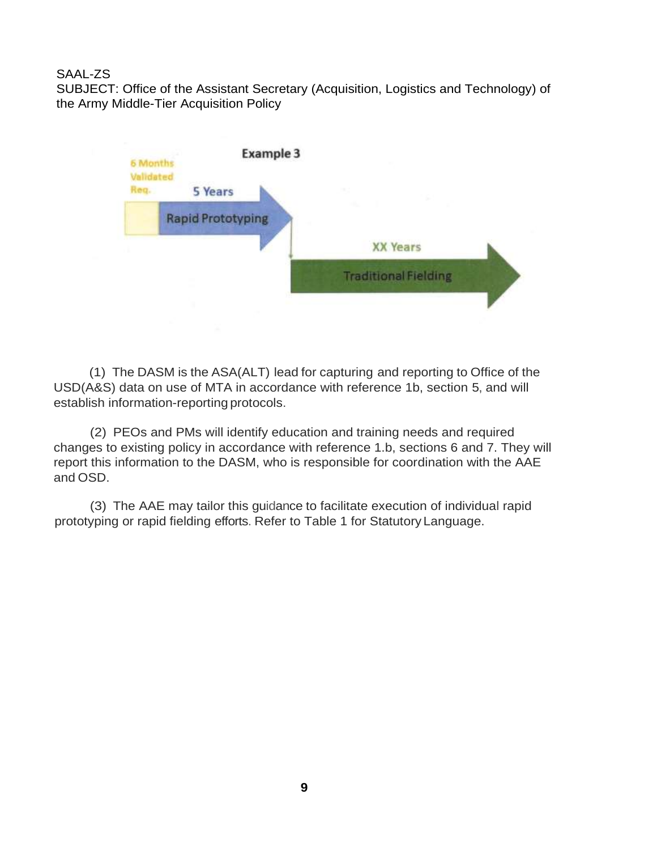SUBJECT: Office of the Assistant Secretary (Acquisition, Logistics and Technology) of the Army Middle-Tier Acquisition Policy



(1) The DASM is the ASA(ALT) lead for capturing and reporting to Office of the USD(A&S) data on use of MTA in accordance with reference 1b, section 5, and will establish information-reporting protocols.

(2) PEOs and PMs will identify education and training needs and required changes to existing policy in accordance with reference 1.b, sections 6 and 7. They will report this information to the DASM, who is responsible for coordination with the AAE and OSD.

(3) The AAE may tailor this guidance to facilitate execution of individual rapid prototyping or rapid fielding efforts. Refer to Table 1 for Statutory Language.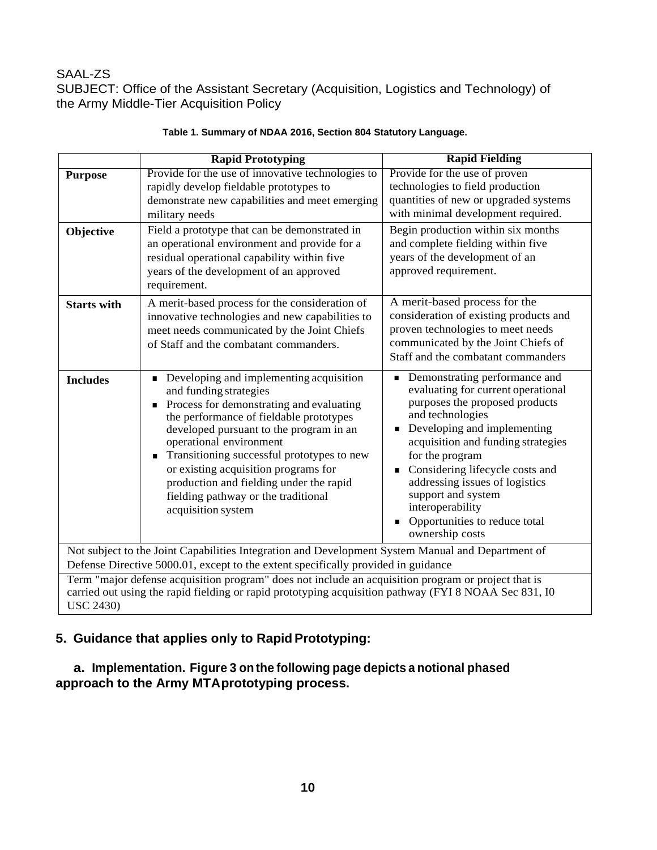SUBJECT: Office of the Assistant Secretary (Acquisition, Logistics and Technology) of the Army Middle-Tier Acquisition Policy

|                                                                                                                                                                                                                                  | <b>Rapid Prototyping</b>                                                                                                                                                                                                                                                                                                                                                                                                                    | <b>Rapid Fielding</b>                                                                                                                                                                                                                                                                                                                                                                                  |
|----------------------------------------------------------------------------------------------------------------------------------------------------------------------------------------------------------------------------------|---------------------------------------------------------------------------------------------------------------------------------------------------------------------------------------------------------------------------------------------------------------------------------------------------------------------------------------------------------------------------------------------------------------------------------------------|--------------------------------------------------------------------------------------------------------------------------------------------------------------------------------------------------------------------------------------------------------------------------------------------------------------------------------------------------------------------------------------------------------|
| <b>Purpose</b><br>Objective                                                                                                                                                                                                      | Provide for the use of innovative technologies to<br>rapidly develop fieldable prototypes to<br>demonstrate new capabilities and meet emerging<br>military needs<br>Field a prototype that can be demonstrated in<br>an operational environment and provide for a<br>residual operational capability within five<br>years of the development of an approved<br>requirement.                                                                 | Provide for the use of proven<br>technologies to field production<br>quantities of new or upgraded systems<br>with minimal development required.<br>Begin production within six months<br>and complete fielding within five<br>years of the development of an<br>approved requirement.                                                                                                                 |
| <b>Starts with</b>                                                                                                                                                                                                               | A merit-based process for the consideration of<br>innovative technologies and new capabilities to<br>meet needs communicated by the Joint Chiefs<br>of Staff and the combatant commanders.                                                                                                                                                                                                                                                  | A merit-based process for the<br>consideration of existing products and<br>proven technologies to meet needs<br>communicated by the Joint Chiefs of<br>Staff and the combatant commanders                                                                                                                                                                                                              |
| <b>Includes</b>                                                                                                                                                                                                                  | Developing and implementing acquisition<br>П<br>and funding strategies<br>Process for demonstrating and evaluating<br>п<br>the performance of fieldable prototypes<br>developed pursuant to the program in an<br>operational environment<br>Transitioning successful prototypes to new<br>П<br>or existing acquisition programs for<br>production and fielding under the rapid<br>fielding pathway or the traditional<br>acquisition system | Demonstrating performance and<br>$\blacksquare$<br>evaluating for current operational<br>purposes the proposed products<br>and technologies<br>Developing and implementing<br>acquisition and funding strategies<br>for the program<br>Considering lifecycle costs and<br>addressing issues of logistics<br>support and system<br>interoperability<br>Opportunities to reduce total<br>ownership costs |
| Not subject to the Joint Capabilities Integration and Development System Manual and Department of                                                                                                                                |                                                                                                                                                                                                                                                                                                                                                                                                                                             |                                                                                                                                                                                                                                                                                                                                                                                                        |
| Defense Directive 5000.01, except to the extent specifically provided in guidance                                                                                                                                                |                                                                                                                                                                                                                                                                                                                                                                                                                                             |                                                                                                                                                                                                                                                                                                                                                                                                        |
| Term "major defense acquisition program" does not include an acquisition program or project that is<br>carried out using the rapid fielding or rapid prototyping acquisition pathway (FYI 8 NOAA Sec 831, IO<br><b>USC 2430)</b> |                                                                                                                                                                                                                                                                                                                                                                                                                                             |                                                                                                                                                                                                                                                                                                                                                                                                        |

### **Table 1. Summary of NDAA 2016, Section 804 Statutory Language.**

# **5. Guidance that applies only to RapidPrototyping:**

**a. Implementation. Figure 3 onthe following page depicts a notional phased approach to the Army MTAprototyping process.**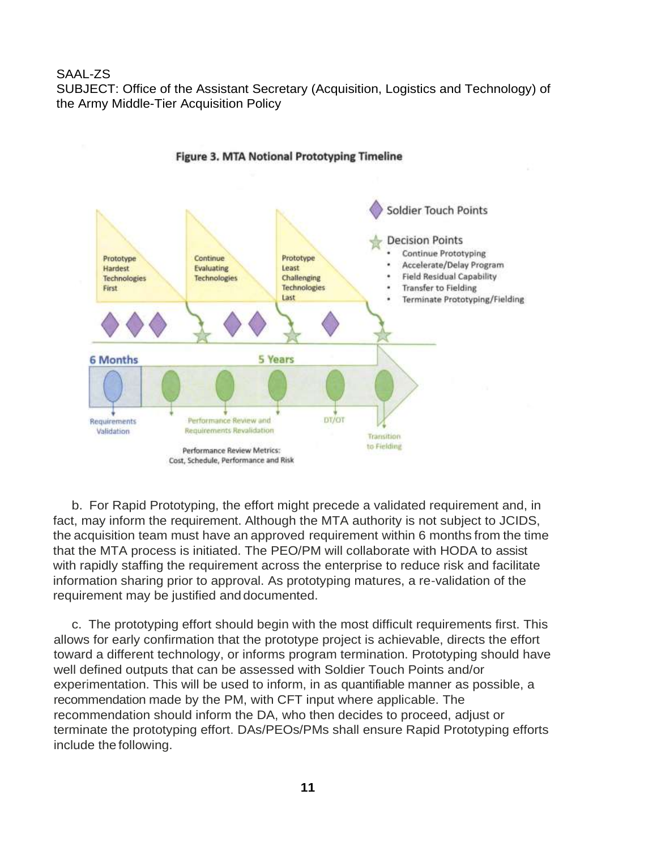SAAL-ZS SUBJECT: Office of the Assistant Secretary (Acquisition, Logistics and Technology) of the Army Middle-Tier Acquisition Policy



**Figure 3. MTA Notional Prototyping Timeline** 

b. For Rapid Prototyping, the effort might precede a validated requirement and, in fact, may inform the requirement. Although the MTA authority is not subject to JCIDS, the acquisition team must have an approved requirement within 6 months from the time that the MTA process is initiated. The PEO/PM will collaborate with HODA to assist with rapidly staffing the requirement across the enterprise to reduce risk and facilitate information sharing prior to approval. As prototyping matures, a re-validation of the requirement may be justified and documented.

c. The prototyping effort should begin with the most difficult requirements first. This allows for early confirmation that the prototype project is achievable, directs the effort toward a different technology, or informs program termination. Prototyping should have well defined outputs that can be assessed with Soldier Touch Points and/or experimentation. This will be used to inform, in as quantifiable manner as possible, a recommendation made by the PM, with CFT input where applicable. The recommendation should inform the DA, who then decides to proceed, adjust or terminate the prototyping effort. DAs/PEOs/PMs shall ensure Rapid Prototyping efforts include the following.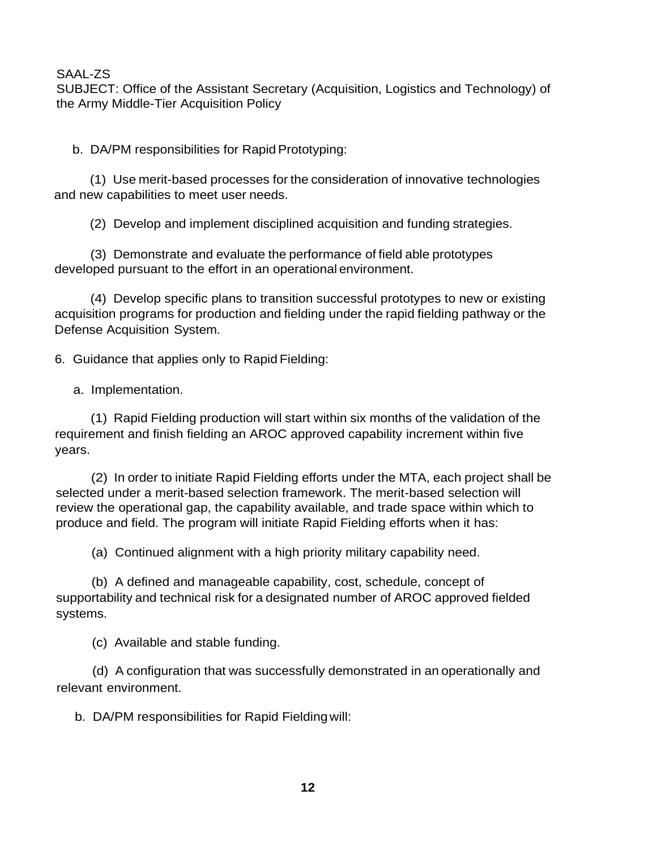SUBJECT: Office of the Assistant Secretary (Acquisition, Logistics and Technology) of the Army Middle-Tier Acquisition Policy

b. DA/PM responsibilities for Rapid Prototyping:

(1) Use merit-based processes for the consideration of innovative technologies and new capabilities to meet user needs.

(2) Develop and implement disciplined acquisition and funding strategies.

(3) Demonstrate and evaluate the performance of field able prototypes developed pursuant to the effort in an operational environment.

(4) Develop specific plans to transition successful prototypes to new or existing acquisition programs for production and fielding under the rapid fielding pathway or the Defense Acquisition System.

6. Guidance that applies only to Rapid Fielding:

a. Implementation.

(1) Rapid Fielding production will start within six months of the validation of the requirement and finish fielding an AROC approved capability increment within five years.

(2) In order to initiate Rapid Fielding efforts under the MTA, each project shall be selected under a merit-based selection framework. The merit-based selection will review the operational gap, the capability available, and trade space within which to produce and field. The program will initiate Rapid Fielding efforts when it has:

(a) Continued alignment with a high priority military capability need.

(b) A defined and manageable capability, cost, schedule, concept of supportability and technical risk for a designated number of AROC approved fielded systems.

(c) Available and stable funding.

(d) A configuration that was successfully demonstrated in an operationally and relevant environment.

b. DA/PM responsibilities for Rapid Fielding will: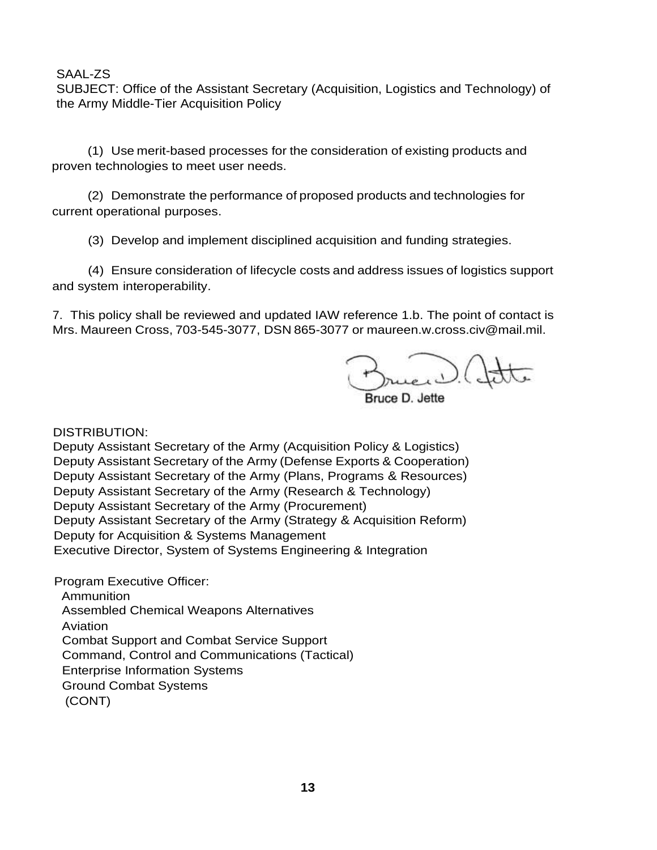SUBJECT: Office of the Assistant Secretary (Acquisition, Logistics and Technology) of the Army Middle-Tier Acquisition Policy

(1) Use merit-based processes for the consideration of existing products and proven technologies to meet user needs.

(2) Demonstrate the performance of proposed products and technologies for current operational purposes.

(3) Develop and implement disciplined acquisition and funding strategies.

(4) Ensure consideration of lifecycle costs and address issues of logistics support and system interoperability.

7. This policy shall be reviewed and updated IAW reference 1.b. The point of contact is Mrs. Maureen Cross, 703-545-3077, DSN 865-3077 or [maureen.w.cross.civ@mail.mil.](mailto:maureen.w.cross.civ@mail.mil)

 $\epsilon$ er $\mathcal{D}$ .

DISTRIBUTION:

Deputy Assistant Secretary of the Army (Acquisition Policy & Logistics) Deputy Assistant Secretary of the Army (Defense Exports & Cooperation) Deputy Assistant Secretary of the Army (Plans, Programs & Resources) Deputy Assistant Secretary of the Army (Research & Technology) Deputy Assistant Secretary of the Army (Procurement) Deputy Assistant Secretary of the Army (Strategy & Acquisition Reform) Deputy for Acquisition & Systems Management Executive Director, System of Systems Engineering & Integration

Program Executive Officer: Ammunition Assembled Chemical Weapons Alternatives Aviation Combat Support and Combat Service Support Command, Control and Communications (Tactical) Enterprise Information Systems Ground Combat Systems (CONT)